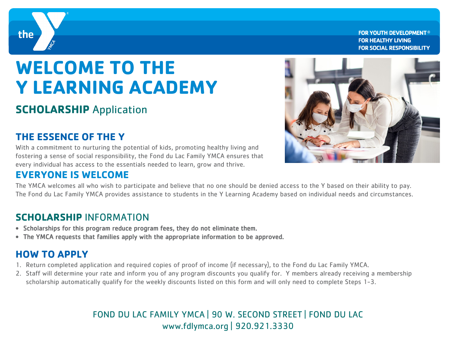

**FOR YOUTH DEVELOPMENT® FOR HEALTHY LIVING FOR SOCIAL RESPONSIBILITY** 

# **WELCOME TO THE Y LEARNING ACADEMY**

# **SCHOLARSHIP** Application

## **THE ESSENCE OF THE Y**

With a commitment to nurturing the potential of kids, promoting healthy living and fostering a sense of social responsibility, the Fond du Lac Family YMCA ensures that every individual has access to the essentials needed to learn, grow and thrive.

#### **EVERYONE IS WELCOME**

The YMCA welcomes all who wish to participate and believe that no one should be denied access to the Y based on their ability to pay. The Fond du Lac Family YMCA provides assistance to students in the Y Learning Academy based on individual needs and circumstances.

### **SCHOLARSHIP** INFORMATION

- Scholarships for this program reduce program fees, they do not eliminate them.
- The YMCA requests that families apply with the appropriate information to be approved.

## **HOW TO APPLY**

- 1. Return completed application and required copies of proof of income (if necessary), to the Fond du Lac Family YMCA.
- 2. Staff will determine your rate and inform you of any program discounts you qualify for. Y members already receiving a membership scholarship automatically qualify for the weekly discounts listed on this form and will only need to complete Steps 1-3.

#### FOND DU LAC FAMILY YMCA | 90 W. SECOND STREET | FOND DU LAC www.fdlymca.org | 920.921.3330